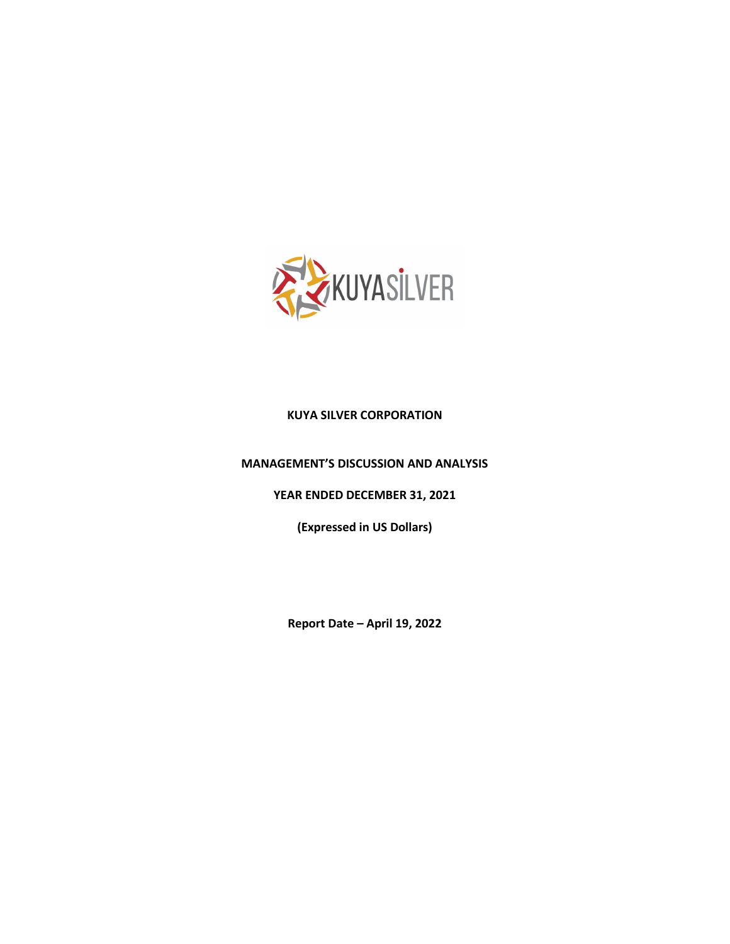

# **KUYA SILVER CORPORATION**

#### **MANAGEMENT'S DISCUSSION AND ANALYSIS**

**YEAR ENDED DECEMBER 31, 2021**

**(Expressed in US Dollars)**

**Report Date – April 19, 2022**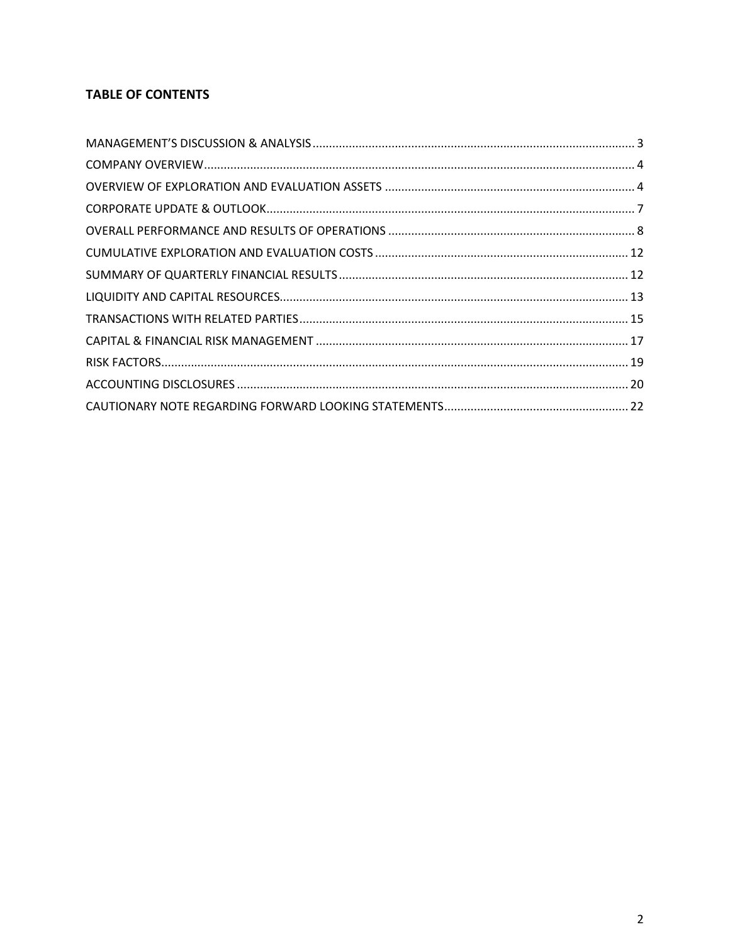# **TABLE OF CONTENTS**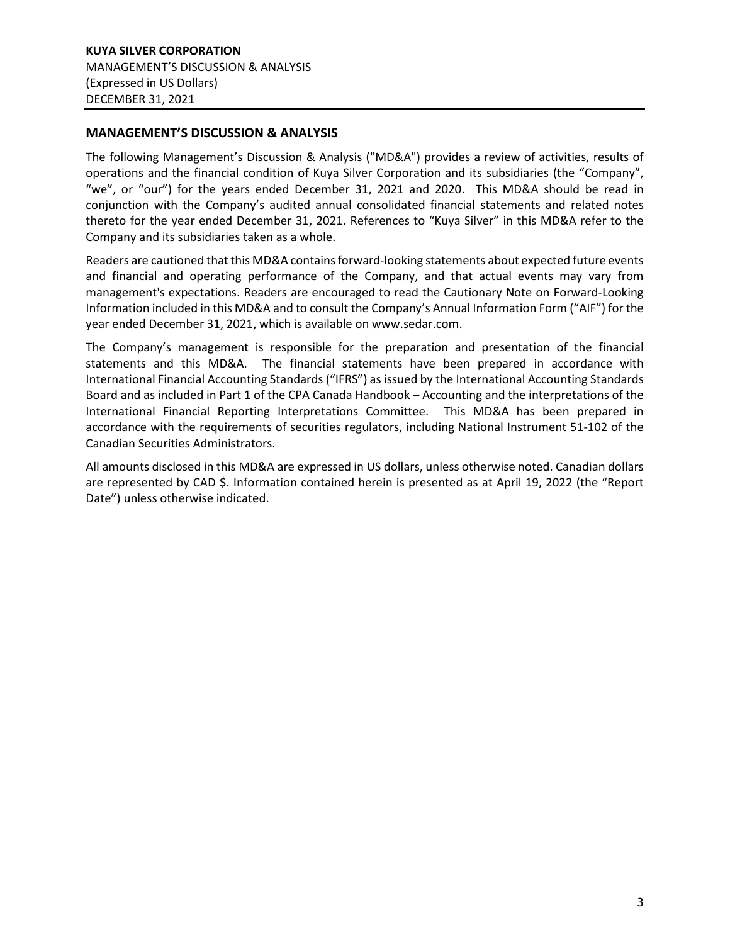## <span id="page-2-0"></span>**MANAGEMENT'S DISCUSSION & ANALYSIS**

The following Management's Discussion & Analysis ("MD&A") provides a review of activities, results of operations and the financial condition of Kuya Silver Corporation and its subsidiaries (the "Company", "we", or "our") for the years ended December 31, 2021 and 2020. This MD&A should be read in conjunction with the Company's audited annual consolidated financial statements and related notes thereto for the year ended December 31, 2021. References to "Kuya Silver" in this MD&A refer to the Company and its subsidiaries taken as a whole.

Readers are cautioned that this MD&A contains forward-looking statements about expected future events and financial and operating performance of the Company, and that actual events may vary from management's expectations. Readers are encouraged to read the Cautionary Note on Forward-Looking Information included in this MD&A and to consult the Company's Annual Information Form ("AIF") for the year ended December 31, 2021, which is available on www.sedar.com.

The Company's management is responsible for the preparation and presentation of the financial statements and this MD&A. The financial statements have been prepared in accordance with International Financial Accounting Standards ("IFRS") as issued by the International Accounting Standards Board and as included in Part 1 of the CPA Canada Handbook – Accounting and the interpretations of the International Financial Reporting Interpretations Committee. This MD&A has been prepared in accordance with the requirements of securities regulators, including National Instrument 51-102 of the Canadian Securities Administrators.

All amounts disclosed in this MD&A are expressed in US dollars, unless otherwise noted. Canadian dollars are represented by CAD \$. Information contained herein is presented as at April 19, 2022 (the "Report Date") unless otherwise indicated.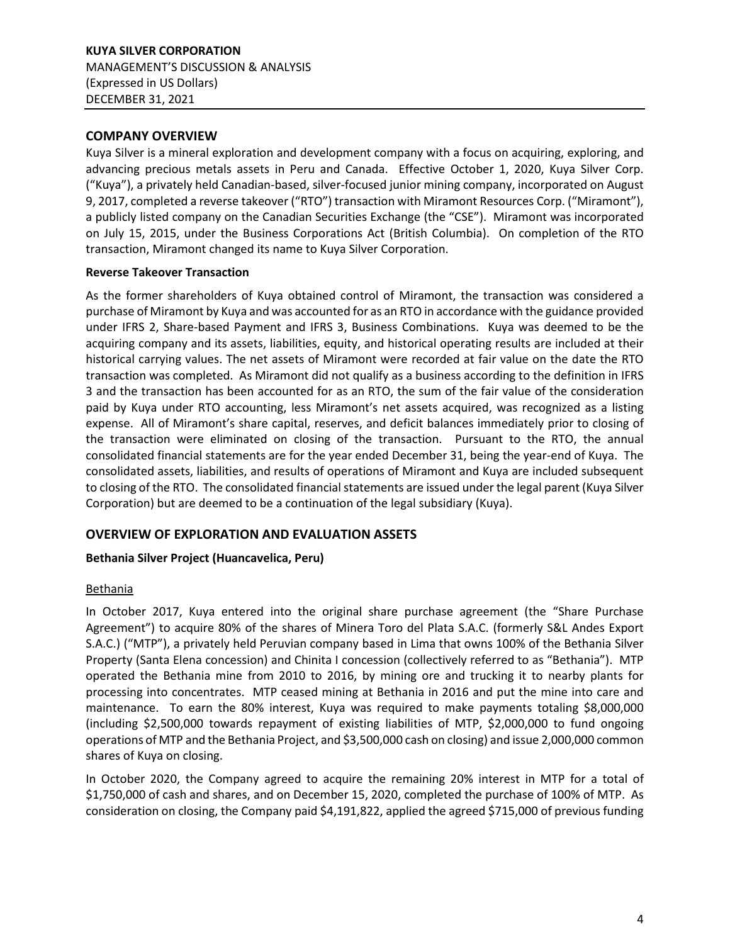## <span id="page-3-0"></span>**COMPANY OVERVIEW**

Kuya Silver is a mineral exploration and development company with a focus on acquiring, exploring, and advancing precious metals assets in Peru and Canada. Effective October 1, 2020, Kuya Silver Corp. ("Kuya"), a privately held Canadian-based, silver-focused junior mining company, incorporated on August 9, 2017, completed a reverse takeover ("RTO") transaction with Miramont Resources Corp. ("Miramont"), a publicly listed company on the Canadian Securities Exchange (the "CSE"). Miramont was incorporated on July 15, 2015, under the Business Corporations Act (British Columbia). On completion of the RTO transaction, Miramont changed its name to Kuya Silver Corporation.

#### **Reverse Takeover Transaction**

As the former shareholders of Kuya obtained control of Miramont, the transaction was considered a purchase of Miramont by Kuya and was accounted for as an RTO in accordance with the guidance provided under IFRS 2, Share-based Payment and IFRS 3, Business Combinations. Kuya was deemed to be the acquiring company and its assets, liabilities, equity, and historical operating results are included at their historical carrying values. The net assets of Miramont were recorded at fair value on the date the RTO transaction was completed. As Miramont did not qualify as a business according to the definition in IFRS 3 and the transaction has been accounted for as an RTO, the sum of the fair value of the consideration paid by Kuya under RTO accounting, less Miramont's net assets acquired, was recognized as a listing expense. All of Miramont's share capital, reserves, and deficit balances immediately prior to closing of the transaction were eliminated on closing of the transaction. Pursuant to the RTO, the annual consolidated financial statements are for the year ended December 31, being the year-end of Kuya. The consolidated assets, liabilities, and results of operations of Miramont and Kuya are included subsequent to closing of the RTO. The consolidated financial statements are issued under the legal parent (Kuya Silver Corporation) but are deemed to be a continuation of the legal subsidiary (Kuya).

# <span id="page-3-1"></span>**OVERVIEW OF EXPLORATION AND EVALUATION ASSETS**

# **Bethania Silver Project (Huancavelica, Peru)**

#### **Bethania**

In October 2017, Kuya entered into the original share purchase agreement (the "Share Purchase Agreement") to acquire 80% of the shares of Minera Toro del Plata S.A.C. (formerly S&L Andes Export S.A.C.) ("MTP"), a privately held Peruvian company based in Lima that owns 100% of the Bethania Silver Property (Santa Elena concession) and Chinita I concession (collectively referred to as "Bethania"). MTP operated the Bethania mine from 2010 to 2016, by mining ore and trucking it to nearby plants for processing into concentrates. MTP ceased mining at Bethania in 2016 and put the mine into care and maintenance. To earn the 80% interest, Kuya was required to make payments totaling \$8,000,000 (including \$2,500,000 towards repayment of existing liabilities of MTP, \$2,000,000 to fund ongoing operations of MTP and the Bethania Project, and \$3,500,000 cash on closing) and issue 2,000,000 common shares of Kuya on closing.

In October 2020, the Company agreed to acquire the remaining 20% interest in MTP for a total of \$1,750,000 of cash and shares, and on December 15, 2020, completed the purchase of 100% of MTP. As consideration on closing, the Company paid \$4,191,822, applied the agreed \$715,000 of previous funding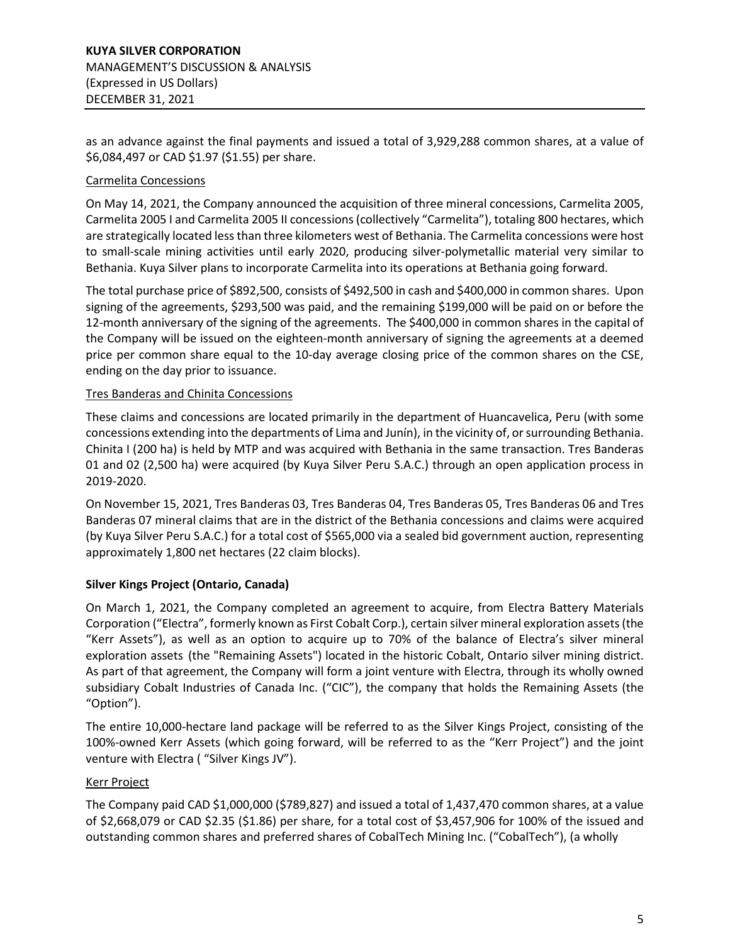as an advance against the final payments and issued a total of 3,929,288 common shares, at a value of \$6,084,497 or CAD \$1.97 (\$1.55) per share.

## Carmelita Concessions

On May 14, 2021, the Company announced the acquisition of three mineral concessions, Carmelita 2005, Carmelita 2005 I and Carmelita 2005 II concessions (collectively "Carmelita"), totaling 800 hectares, which are strategically located less than three kilometers west of Bethania. The Carmelita concessions were host to small-scale mining activities until early 2020, producing silver-polymetallic material very similar to Bethania. Kuya Silver plans to incorporate Carmelita into its operations at Bethania going forward.

The total purchase price of \$892,500, consists of \$492,500 in cash and \$400,000 in common shares. Upon signing of the agreements, \$293,500 was paid, and the remaining \$199,000 will be paid on or before the 12-month anniversary of the signing of the agreements. The \$400,000 in common shares in the capital of the Company will be issued on the eighteen-month anniversary of signing the agreements at a deemed price per common share equal to the 10-day average closing price of the common shares on the CSE, ending on the day prior to issuance.

#### Tres Banderas and Chinita Concessions

These claims and concessions are located primarily in the department of Huancavelica, Peru (with some concessions extending into the departments of Lima and Junín), in the vicinity of, or surrounding Bethania. Chinita I (200 ha) is held by MTP and was acquired with Bethania in the same transaction. Tres Banderas 01 and 02 (2,500 ha) were acquired (by Kuya Silver Peru S.A.C.) through an open application process in 2019-2020.

On November 15, 2021, Tres Banderas 03, Tres Banderas 04, Tres Banderas 05, Tres Banderas 06 and Tres Banderas 07 mineral claims that are in the district of the Bethania concessions and claims were acquired (by Kuya Silver Peru S.A.C.) for a total cost of \$565,000 via a sealed bid government auction, representing approximately 1,800 net hectares (22 claim blocks).

# **Silver Kings Project (Ontario, Canada)**

On March 1, 2021, the Company completed an agreement to acquire, from Electra Battery Materials Corporation ("Electra", formerly known as First Cobalt Corp.), certain silver mineral exploration assets (the "Kerr Assets"), as well as an option to acquire up to 70% of the balance of Electra's silver mineral exploration assets (the "Remaining Assets") located in the historic Cobalt, Ontario silver mining district. As part of that agreement, the Company will form a joint venture with Electra, through its wholly owned subsidiary Cobalt Industries of Canada Inc. ("CIC"), the company that holds the Remaining Assets (the "Option").

The entire 10,000-hectare land package will be referred to as the Silver Kings Project, consisting of the 100%-owned Kerr Assets (which going forward, will be referred to as the "Kerr Project") and the joint venture with Electra ( "Silver Kings JV").

#### Kerr Project

The Company paid CAD \$1,000,000 (\$789,827) and issued a total of 1,437,470 common shares, at a value of \$2,668,079 or CAD \$2.35 (\$1.86) per share, for a total cost of \$3,457,906 for 100% of the issued and outstanding common shares and preferred shares of CobalTech Mining Inc. ("CobalTech"), (a wholly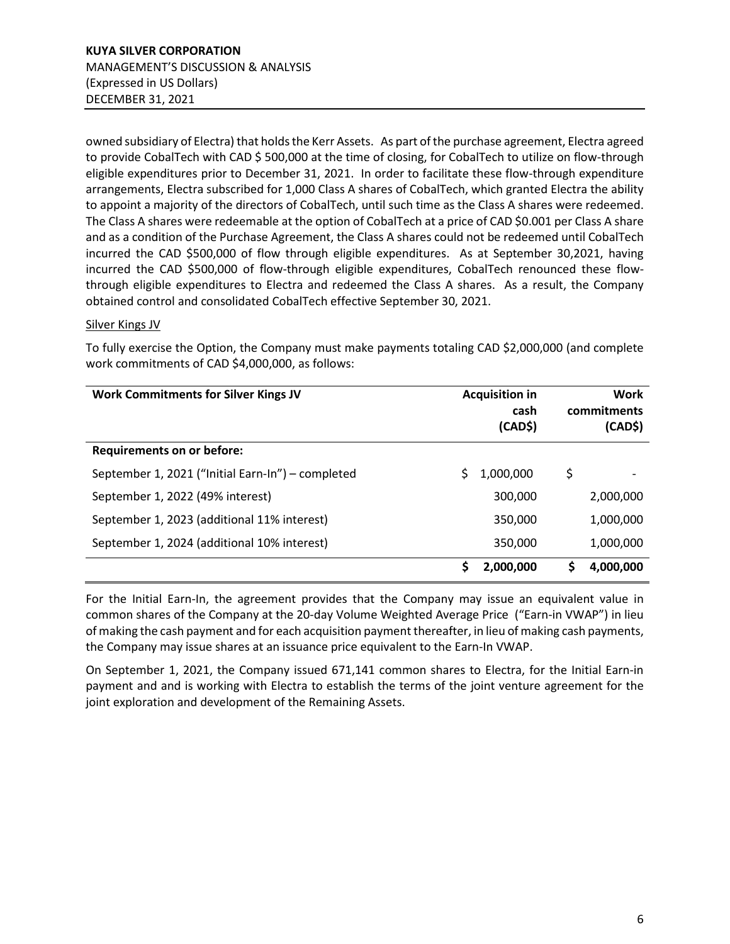owned subsidiary of Electra) that holds the Kerr Assets. As part of the purchase agreement, Electra agreed to provide CobalTech with CAD \$500,000 at the time of closing, for CobalTech to utilize on flow-through eligible expenditures prior to December 31, 2021. In order to facilitate these flow-through expenditure arrangements, Electra subscribed for 1,000 Class A shares of CobalTech, which granted Electra the ability to appoint a majority of the directors of CobalTech, until such time as the Class A shares were redeemed. The Class A shares were redeemable at the option of CobalTech at a price of CAD \$0.001 per Class A share and as a condition of the Purchase Agreement, the Class A shares could not be redeemed until CobalTech incurred the CAD \$500,000 of flow through eligible expenditures. As at September 30,2021, having incurred the CAD \$500,000 of flow-through eligible expenditures, CobalTech renounced these flowthrough eligible expenditures to Electra and redeemed the Class A shares. As a result, the Company obtained control and consolidated CobalTech effective September 30, 2021.

#### Silver Kings JV

To fully exercise the Option, the Company must make payments totaling CAD \$2,000,000 (and complete work commitments of CAD \$4,000,000, as follows:

| <b>Work Commitments for Silver Kings JV</b>       | <b>Acquisition in</b><br>cash<br>(CAD\$) | Work<br>commitments<br>(CAD\$) |
|---------------------------------------------------|------------------------------------------|--------------------------------|
| <b>Requirements on or before:</b>                 |                                          |                                |
| September 1, 2021 ("Initial Earn-In") – completed | 1,000,000                                | \$                             |
| September 1, 2022 (49% interest)                  | 300,000                                  | 2,000,000                      |
| September 1, 2023 (additional 11% interest)       | 350,000                                  | 1,000,000                      |
| September 1, 2024 (additional 10% interest)       | 350,000                                  | 1,000,000                      |
|                                                   | S<br>2,000,000                           | 4,000,000<br>S                 |

For the Initial Earn-In, the agreement provides that the Company may issue an equivalent value in common shares of the Company at the 20-day Volume Weighted Average Price ("Earn-in VWAP") in lieu of making the cash payment and for each acquisition payment thereafter, in lieu of making cash payments, the Company may issue shares at an issuance price equivalent to the Earn-In VWAP.

On September 1, 2021, the Company issued 671,141 common shares to Electra, for the Initial Earn-in payment and and is working with Electra to establish the terms of the joint venture agreement for the joint exploration and development of the Remaining Assets.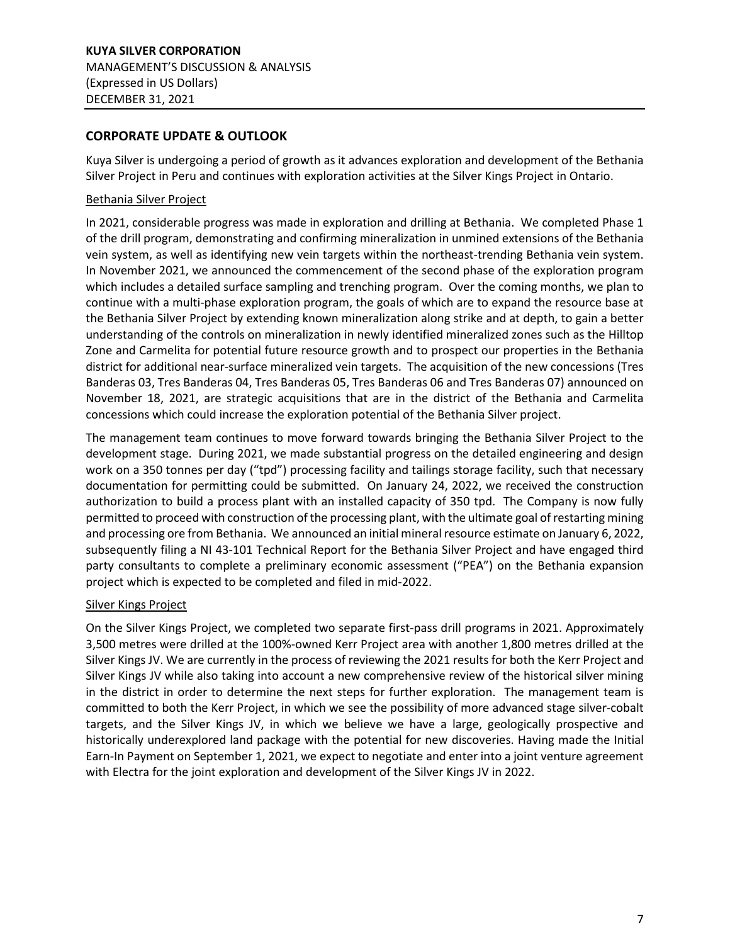## <span id="page-6-0"></span>**CORPORATE UPDATE & OUTLOOK**

Kuya Silver is undergoing a period of growth as it advances exploration and development of the Bethania Silver Project in Peru and continues with exploration activities at the Silver Kings Project in Ontario.

#### Bethania Silver Project

In 2021, considerable progress was made in exploration and drilling at Bethania. We completed Phase 1 of the drill program, demonstrating and confirming mineralization in unmined extensions of the Bethania vein system, as well as identifying new vein targets within the northeast-trending Bethania vein system. In November 2021, we announced the commencement of the second phase of the exploration program which includes a detailed surface sampling and trenching program. Over the coming months, we plan to continue with a multi-phase exploration program, the goals of which are to expand the resource base at the Bethania Silver Project by extending known mineralization along strike and at depth, to gain a better understanding of the controls on mineralization in newly identified mineralized zones such as the Hilltop Zone and Carmelita for potential future resource growth and to prospect our properties in the Bethania district for additional near-surface mineralized vein targets. The acquisition of the new concessions (Tres Banderas 03, Tres Banderas 04, Tres Banderas 05, Tres Banderas 06 and Tres Banderas 07) announced on November 18, 2021, are strategic acquisitions that are in the district of the Bethania and Carmelita concessions which could increase the exploration potential of the Bethania Silver project.

The management team continues to move forward towards bringing the Bethania Silver Project to the development stage. During 2021, we made substantial progress on the detailed engineering and design work on a 350 tonnes per day ("tpd") processing facility and tailings storage facility, such that necessary documentation for permitting could be submitted. On January 24, 2022, we received the construction authorization to build a process plant with an installed capacity of 350 tpd. The Company is now fully permitted to proceed with construction of the processing plant, with the ultimate goal of restarting mining and processing ore from Bethania. We announced an initial mineral resource estimate on January 6, 2022, subsequently filing a NI 43-101 Technical Report for the Bethania Silver Project and have engaged third party consultants to complete a preliminary economic assessment ("PEA") on the Bethania expansion project which is expected to be completed and filed in mid-2022.

#### Silver Kings Project

On the Silver Kings Project, we completed two separate first-pass drill programs in 2021. Approximately 3,500 metres were drilled at the 100%-owned Kerr Project area with another 1,800 metres drilled at the Silver Kings JV. We are currently in the process of reviewing the 2021 results for both the Kerr Project and Silver Kings JV while also taking into account a new comprehensive review of the historical silver mining in the district in order to determine the next steps for further exploration. The management team is committed to both the Kerr Project, in which we see the possibility of more advanced stage silver-cobalt targets, and the Silver Kings JV, in which we believe we have a large, geologically prospective and historically underexplored land package with the potential for new discoveries. Having made the Initial Earn-In Payment on September 1, 2021, we expect to negotiate and enter into a joint venture agreement with Electra for the joint exploration and development of the Silver Kings JV in 2022.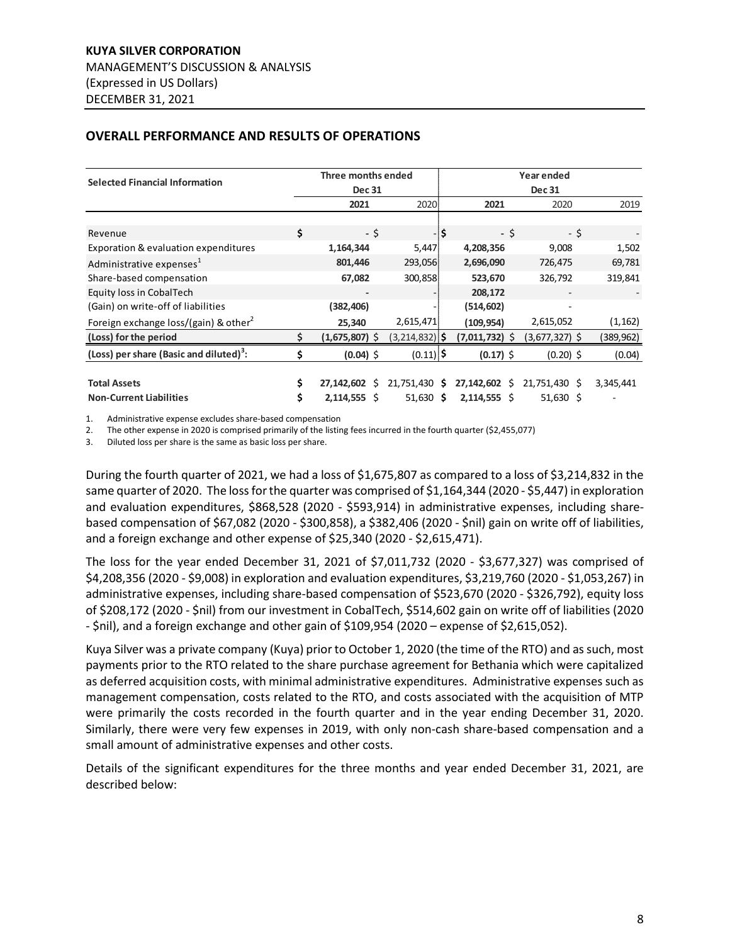| <b>Selected Financial Information</b>               | Three months ended |                  |                    |               |                  | Year ended               |            |
|-----------------------------------------------------|--------------------|------------------|--------------------|---------------|------------------|--------------------------|------------|
|                                                     |                    | <b>Dec 31</b>    |                    | <b>Dec 31</b> |                  |                          |            |
|                                                     |                    | 2021             | 2020               |               | 2021             | 2020                     | 2019       |
|                                                     |                    |                  |                    |               |                  |                          |            |
| Revenue                                             | \$                 | - \$             |                    | l\$           | - \$             | - \$                     |            |
| Exporation & evaluation expenditures                |                    | 1,164,344        | 5,447              |               | 4,208,356        | 9,008                    | 1,502      |
| Administrative expenses <sup>1</sup>                |                    | 801,446          | 293,056            |               | 2,696,090        | 726,475                  | 69,781     |
| Share-based compensation                            |                    | 67,082           | 300,858            |               | 523,670          | 326,792                  | 319,841    |
| Equity loss in CobalTech                            |                    |                  |                    |               | 208,172          |                          |            |
| (Gain) on write-off of liabilities                  |                    | (382, 406)       |                    |               | (514, 602)       | $\overline{\phantom{a}}$ |            |
| Foreign exchange loss/(gain) & other <sup>2</sup>   |                    | 25,340           | 2,615,471          |               | (109, 954)       | 2,615,052                | (1, 162)   |
| (Loss) for the period                               | \$                 | $(1,675,807)$ \$ | $(3, 214, 832)$ \$ |               | $(7,011,732)$ \$ | $(3,677,327)$ \$         | (389, 962) |
| (Loss) per share (Basic and diluted) <sup>3</sup> : | Ś.                 | $(0.04)$ \$      | $(0.11)$ \$        |               | $(0.17)$ \$      | $(0.20)$ \$              | (0.04)     |
|                                                     |                    |                  |                    |               |                  |                          |            |
| <b>Total Assets</b>                                 | \$                 | 27,142,602 \$    | 21,751,430 \$      |               | 27,142,602 \$    | 21,751,430 \$            | 3,345,441  |
| <b>Non-Current Liabilities</b>                      | \$                 | $2,114,555$ \$   | $51,630$ \$        |               | $2,114,555$ \$   | $51,630$ \$              |            |

## <span id="page-7-0"></span>**OVERALL PERFORMANCE AND RESULTS OF OPERATIONS**

1. Administrative expense excludes share-based compensation

2. The other expense in 2020 is comprised primarily of the listing fees incurred in the fourth quarter (\$2,455,077)

3. Diluted loss per share is the same as basic loss per share.

During the fourth quarter of 2021, we had a loss of \$1,675,807 as compared to a loss of \$3,214,832 in the same quarter of 2020. The loss for the quarter was comprised of \$1,164,344 (2020 - \$5,447) in exploration and evaluation expenditures, \$868,528 (2020 - \$593,914) in administrative expenses, including sharebased compensation of \$67,082 (2020 - \$300,858), a \$382,406 (2020 - \$nil) gain on write off of liabilities, and a foreign exchange and other expense of \$25,340 (2020 - \$2,615,471).

The loss for the year ended December 31, 2021 of \$7,011,732 (2020 - \$3,677,327) was comprised of \$4,208,356 (2020 - \$9,008) in exploration and evaluation expenditures, \$3,219,760 (2020 - \$1,053,267) in administrative expenses, including share-based compensation of \$523,670 (2020 - \$326,792), equity loss of \$208,172 (2020 - \$nil) from our investment in CobalTech, \$514,602 gain on write off of liabilities (2020 - \$nil), and a foreign exchange and other gain of \$109,954 (2020 – expense of \$2,615,052).

Kuya Silver was a private company (Kuya) prior to October 1, 2020 (the time of the RTO) and as such, most payments prior to the RTO related to the share purchase agreement for Bethania which were capitalized as deferred acquisition costs, with minimal administrative expenditures. Administrative expenses such as management compensation, costs related to the RTO, and costs associated with the acquisition of MTP were primarily the costs recorded in the fourth quarter and in the year ending December 31, 2020. Similarly, there were very few expenses in 2019, with only non-cash share-based compensation and a small amount of administrative expenses and other costs.

Details of the significant expenditures for the three months and year ended December 31, 2021, are described below: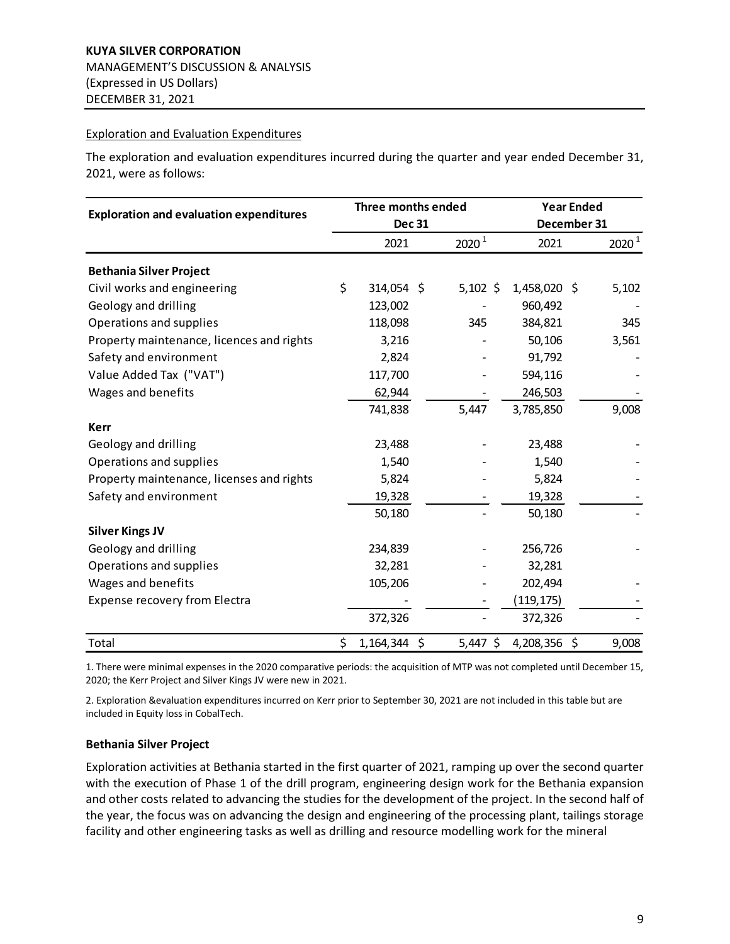#### Exploration and Evaluation Expenditures

The exploration and evaluation expenditures incurred during the quarter and year ended December 31, 2021, were as follows:

|                                                | Three months ended   |  | <b>Year Ended</b> |              |    |          |
|------------------------------------------------|----------------------|--|-------------------|--------------|----|----------|
| <b>Exploration and evaluation expenditures</b> | <b>Dec 31</b>        |  |                   | December 31  |    |          |
|                                                | 2021                 |  | 2020 <sup>1</sup> | 2021         |    | $2020^1$ |
| <b>Bethania Silver Project</b>                 |                      |  |                   |              |    |          |
| Civil works and engineering                    | \$<br>314,054 \$     |  | $5,102$ \$        | 1,458,020 \$ |    | 5,102    |
| Geology and drilling                           | 123,002              |  |                   | 960,492      |    |          |
| Operations and supplies                        | 118,098              |  | 345               | 384,821      |    | 345      |
| Property maintenance, licences and rights      | 3,216                |  |                   | 50,106       |    | 3,561    |
| Safety and environment                         | 2,824                |  |                   | 91,792       |    |          |
| Value Added Tax ("VAT")                        | 117,700              |  |                   | 594,116      |    |          |
| Wages and benefits                             | 62,944               |  |                   | 246,503      |    |          |
|                                                | 741,838              |  | 5,447             | 3,785,850    |    | 9,008    |
| <b>Kerr</b>                                    |                      |  |                   |              |    |          |
| Geology and drilling                           | 23,488               |  |                   | 23,488       |    |          |
| Operations and supplies                        | 1,540                |  |                   | 1,540        |    |          |
| Property maintenance, licenses and rights      | 5,824                |  |                   | 5,824        |    |          |
| Safety and environment                         | 19,328               |  |                   | 19,328       |    |          |
|                                                | 50,180               |  |                   | 50,180       |    |          |
| <b>Silver Kings JV</b>                         |                      |  |                   |              |    |          |
| Geology and drilling                           | 234,839              |  |                   | 256,726      |    |          |
| Operations and supplies                        | 32,281               |  |                   | 32,281       |    |          |
| Wages and benefits                             | 105,206              |  |                   | 202,494      |    |          |
| Expense recovery from Electra                  |                      |  |                   | (119, 175)   |    |          |
|                                                | 372,326              |  |                   | 372,326      |    |          |
| Total                                          | \$<br>$1,164,344$ \$ |  | $5,447$ \$        | 4,208,356    | \$ | 9,008    |

1. There were minimal expenses in the 2020 comparative periods: the acquisition of MTP was not completed until December 15, 2020; the Kerr Project and Silver Kings JV were new in 2021.

2. Exploration &evaluation expenditures incurred on Kerr prior to September 30, 2021 are not included in this table but are included in Equity loss in CobalTech.

#### **Bethania Silver Project**

Exploration activities at Bethania started in the first quarter of 2021, ramping up over the second quarter with the execution of Phase 1 of the drill program, engineering design work for the Bethania expansion and other costs related to advancing the studies for the development of the project. In the second half of the year, the focus was on advancing the design and engineering of the processing plant, tailings storage facility and other engineering tasks as well as drilling and resource modelling work for the mineral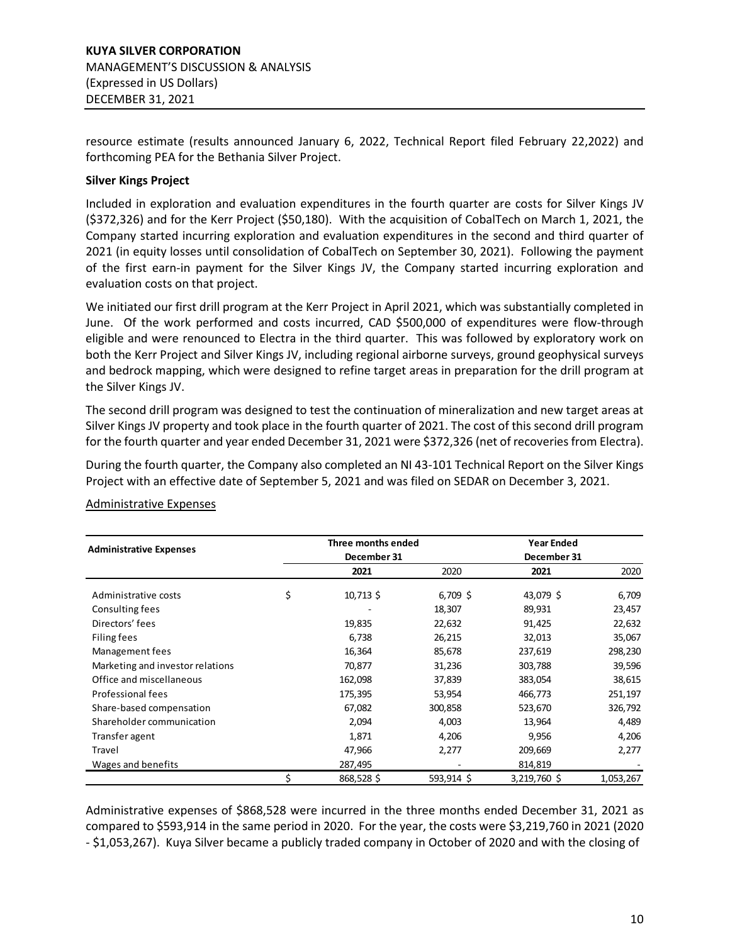resource estimate (results announced January 6, 2022, Technical Report filed February 22,2022) and forthcoming PEA for the Bethania Silver Project.

## **Silver Kings Project**

Included in exploration and evaluation expenditures in the fourth quarter are costs for Silver Kings JV (\$372,326) and for the Kerr Project (\$50,180). With the acquisition of CobalTech on March 1, 2021, the Company started incurring exploration and evaluation expenditures in the second and third quarter of 2021 (in equity losses until consolidation of CobalTech on September 30, 2021). Following the payment of the first earn-in payment for the Silver Kings JV, the Company started incurring exploration and evaluation costs on that project.

We initiated our first drill program at the Kerr Project in April 2021, which was substantially completed in June. Of the work performed and costs incurred, CAD \$500,000 of expenditures were flow-through eligible and were renounced to Electra in the third quarter. This was followed by exploratory work on both the Kerr Project and Silver Kings JV, including regional airborne surveys, ground geophysical surveys and bedrock mapping, which were designed to refine target areas in preparation for the drill program at the Silver Kings JV.

The second drill program was designed to test the continuation of mineralization and new target areas at Silver Kings JV property and took place in the fourth quarter of 2021. The cost of this second drill program for the fourth quarter and year ended December 31, 2021 were \$372,326 (net of recoveries from Electra).

During the fourth quarter, the Company also completed an NI 43-101 Technical Report on the Silver Kings Project with an effective date of September 5, 2021 and was filed on SEDAR on December 3, 2021.

|                                  | Three months ended |            | <b>Year Ended</b> |           |  |  |
|----------------------------------|--------------------|------------|-------------------|-----------|--|--|
| <b>Administrative Expenses</b>   | December 31        |            | December 31       |           |  |  |
|                                  | 2021               | 2020       | 2021              | 2020      |  |  |
| Administrative costs             | \$<br>$10,713$ \$  | $6,709$ \$ | 43,079 \$         | 6,709     |  |  |
| Consulting fees                  |                    | 18,307     | 89,931            | 23,457    |  |  |
| Directors' fees                  | 19,835             | 22,632     | 91,425            | 22,632    |  |  |
| Filing fees                      | 6,738              | 26,215     | 32,013            | 35,067    |  |  |
| Management fees                  | 16,364             | 85,678     | 237,619           | 298,230   |  |  |
| Marketing and investor relations | 70,877             | 31,236     | 303,788           | 39,596    |  |  |
| Office and miscellaneous         | 162,098            | 37,839     | 383,054           | 38,615    |  |  |
| Professional fees                | 175,395            | 53,954     | 466,773           | 251,197   |  |  |
| Share-based compensation         | 67,082             | 300,858    | 523,670           | 326,792   |  |  |
| Shareholder communication        | 2,094              | 4,003      | 13,964            | 4,489     |  |  |
| Transfer agent                   | 1,871              | 4,206      | 9,956             | 4,206     |  |  |
| Travel                           | 47,966             | 2,277      | 209,669           | 2,277     |  |  |
| Wages and benefits               | 287,495            |            | 814,819           |           |  |  |
|                                  | 868,528\$          | 593,914 \$ | 3,219,760 \$      | 1,053,267 |  |  |

#### Administrative Expenses

Administrative expenses of \$868,528 were incurred in the three months ended December 31, 2021 as compared to \$593,914 in the same period in 2020. For the year, the costs were \$3,219,760 in 2021 (2020 - \$1,053,267). Kuya Silver became a publicly traded company in October of 2020 and with the closing of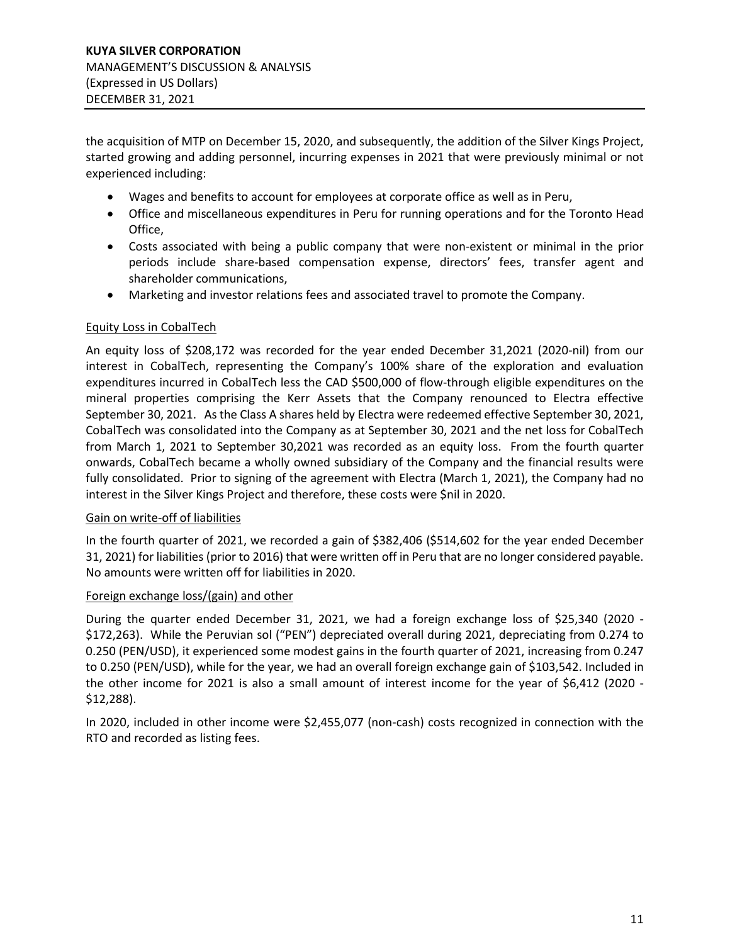the acquisition of MTP on December 15, 2020, and subsequently, the addition of the Silver Kings Project, started growing and adding personnel, incurring expenses in 2021 that were previously minimal or not experienced including:

- Wages and benefits to account for employees at corporate office as well as in Peru,
- Office and miscellaneous expenditures in Peru for running operations and for the Toronto Head Office,
- Costs associated with being a public company that were non-existent or minimal in the prior periods include share-based compensation expense, directors' fees, transfer agent and shareholder communications,
- Marketing and investor relations fees and associated travel to promote the Company.

#### Equity Loss in CobalTech

An equity loss of \$208,172 was recorded for the year ended December 31,2021 (2020-nil) from our interest in CobalTech, representing the Company's 100% share of the exploration and evaluation expenditures incurred in CobalTech less the CAD \$500,000 of flow-through eligible expenditures on the mineral properties comprising the Kerr Assets that the Company renounced to Electra effective September 30, 2021. As the Class A shares held by Electra were redeemed effective September 30, 2021, CobalTech was consolidated into the Company as at September 30, 2021 and the net loss for CobalTech from March 1, 2021 to September 30,2021 was recorded as an equity loss. From the fourth quarter onwards, CobalTech became a wholly owned subsidiary of the Company and the financial results were fully consolidated. Prior to signing of the agreement with Electra (March 1, 2021), the Company had no interest in the Silver Kings Project and therefore, these costs were \$nil in 2020.

#### Gain on write-off of liabilities

In the fourth quarter of 2021, we recorded a gain of \$382,406 (\$514,602 for the year ended December 31, 2021) for liabilities (prior to 2016) that were written off in Peru that are no longer considered payable. No amounts were written off for liabilities in 2020.

#### Foreign exchange loss/(gain) and other

During the quarter ended December 31, 2021, we had a foreign exchange loss of \$25,340 (2020 - \$172,263). While the Peruvian sol ("PEN") depreciated overall during 2021, depreciating from 0.274 to 0.250 (PEN/USD), it experienced some modest gains in the fourth quarter of 2021, increasing from 0.247 to 0.250 (PEN/USD), while for the year, we had an overall foreign exchange gain of \$103,542. Included in the other income for 2021 is also a small amount of interest income for the year of \$6,412 (2020 - \$12,288).

In 2020, included in other income were \$2,455,077 (non-cash) costs recognized in connection with the RTO and recorded as listing fees.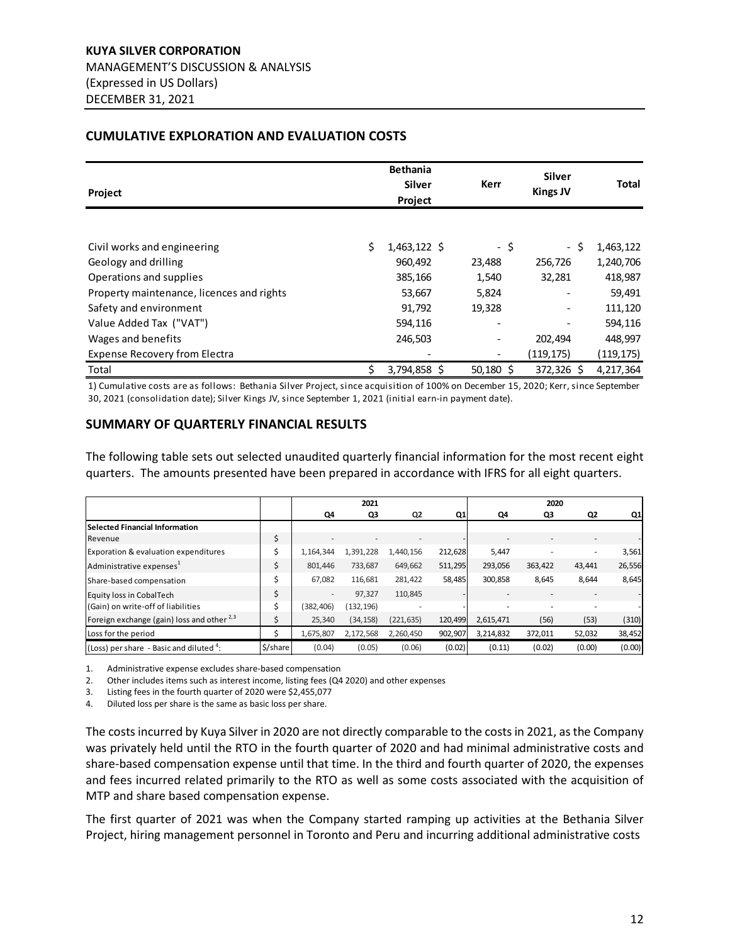## <span id="page-11-0"></span>**CUMULATIVE EXPLORATION AND EVALUATION COSTS**

| Project                                   |    | <b>Bethania</b><br><b>Silver</b><br>Project | <b>Kerr</b> |             | <b>Silver</b><br><b>Kings JV</b> | <b>Total</b> |
|-------------------------------------------|----|---------------------------------------------|-------------|-------------|----------------------------------|--------------|
|                                           |    |                                             |             |             |                                  |              |
| Civil works and engineering               | \$ | $1,463,122$ \$                              |             | - \$        | - \$                             | 1,463,122    |
| Geology and drilling                      |    | 960,492                                     | 23,488      |             | 256,726                          | 1,240,706    |
| Operations and supplies                   |    | 385,166                                     | 1,540       |             | 32,281                           | 418,987      |
| Property maintenance, licences and rights |    | 53,667                                      | 5,824       |             | $\overline{\phantom{a}}$         | 59,491       |
| Safety and environment                    |    | 91,792                                      | 19,328      |             | $\overline{\phantom{a}}$         | 111,120      |
| Value Added Tax ("VAT")                   |    | 594,116                                     |             |             |                                  | 594,116      |
| Wages and benefits                        |    | 246,503                                     |             |             | 202,494                          | 448,997      |
| <b>Expense Recovery from Electra</b>      |    |                                             |             |             | (119,175)                        | (119,175)    |
| Total                                     | Ś. | 3,794,858 \$                                |             | $50,180$ \$ | 372,326 \$                       | 4,217,364    |

1) Cumulative costs are as follows: Bethania Silver Project, since acquisition of 100% on December 15, 2020; Kerr, since September 30, 2021 (consolidation date); Silver Kings JV, since September 1, 2021 (initial earn-in payment date).

#### <span id="page-11-1"></span>**SUMMARY OF QUARTERLY FINANCIAL RESULTS**

The following table sets out selected unaudited quarterly financial information for the most recent eight quarters. The amounts presented have been prepared in accordance with IFRS for all eight quarters.

|                                                    |          |                          | 2021       |            |         |           | 2020    |        |        |
|----------------------------------------------------|----------|--------------------------|------------|------------|---------|-----------|---------|--------|--------|
|                                                    |          | Q4                       | Q3         | Q2         | Q1      | Q4        | Q3      | Q2     | Q1     |
| <b>Selected Financial Information</b>              |          |                          |            |            |         |           |         |        |        |
| Revenue                                            | \$       | $\overline{\phantom{a}}$ |            |            |         |           |         |        |        |
| <b>Exporation &amp; evaluation expenditures</b>    |          | 1.164.344                | 1,391,228  | 1.440.156  | 212,628 | 5,447     |         |        | 3,561  |
| Administrative expenses <sup>1</sup>               | \$       | 801,446                  | 733,687    | 649,662    | 511,295 | 293,056   | 363,422 | 43,441 | 26,556 |
| Share-based compensation                           | Ś        | 67.082                   | 116,681    | 281,422    | 58,485  | 300.858   | 8,645   | 8,644  | 8,645  |
| Equity loss in CobalTech                           | \$       | $\sim$                   | 97.327     | 110,845    |         |           |         |        |        |
| (Gain) on write-off of liabilities                 | Ś        | (382, 406)               | (132, 196) |            |         |           |         |        |        |
| Foreign exchange (gain) loss and other $^{2,3}$    |          | 25,340                   | (34, 158)  | (221, 635) | 120,499 | 2,615,471 | (56)    | (53)   | (310)  |
| Loss for the period                                |          | 1,675,807                | 2,172,568  | 2,260,450  | 902,907 | 3,214,832 | 372,011 | 52,032 | 38,452 |
| $(Loss)$ per share - Basic and diluted $\ddot{}$ : | \$/share | (0.04)                   | (0.05)     | (0.06)     | (0.02)  | (0.11)    | (0.02)  | (0.00) | (0.00) |

1. Administrative expense excludes share-based compensation

2. Other includes items such as interest income, listing fees (Q4 2020) and other expenses

3. Listing fees in the fourth quarter of 2020 were \$2,455,077

4. Diluted loss per share is the same as basic loss per share.

The costs incurred by Kuya Silver in 2020 are not directly comparable to the costs in 2021, as the Company was privately held until the RTO in the fourth quarter of 2020 and had minimal administrative costs and share-based compensation expense until that time. In the third and fourth quarter of 2020, the expenses and fees incurred related primarily to the RTO as well as some costs associated with the acquisition of MTP and share based compensation expense.

The first quarter of 2021 was when the Company started ramping up activities at the Bethania Silver Project, hiring management personnel in Toronto and Peru and incurring additional administrative costs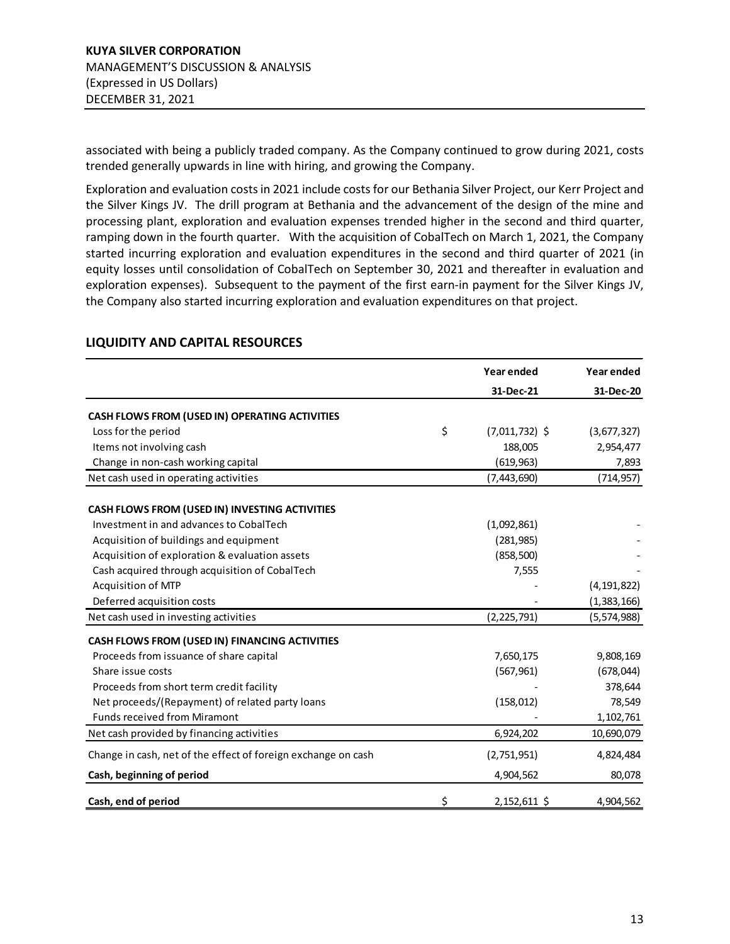associated with being a publicly traded company. As the Company continued to grow during 2021, costs trended generally upwards in line with hiring, and growing the Company.

Exploration and evaluation costs in 2021 include costs for our Bethania Silver Project, our Kerr Project and the Silver Kings JV. The drill program at Bethania and the advancement of the design of the mine and processing plant, exploration and evaluation expenses trended higher in the second and third quarter, ramping down in the fourth quarter. With the acquisition of CobalTech on March 1, 2021, the Company started incurring exploration and evaluation expenditures in the second and third quarter of 2021 (in equity losses until consolidation of CobalTech on September 30, 2021 and thereafter in evaluation and exploration expenses). Subsequent to the payment of the first earn-in payment for the Silver Kings JV, the Company also started incurring exploration and evaluation expenditures on that project.

|                                                               | Year ended             | Year ended    |
|---------------------------------------------------------------|------------------------|---------------|
|                                                               | 31-Dec-21              | 31-Dec-20     |
| CASH FLOWS FROM (USED IN) OPERATING ACTIVITIES                |                        |               |
| Loss for the period                                           | \$<br>$(7,011,732)$ \$ | (3,677,327)   |
| Items not involving cash                                      | 188,005                | 2,954,477     |
| Change in non-cash working capital                            | (619, 963)             | 7,893         |
| Net cash used in operating activities                         | (7,443,690)            | (714, 957)    |
| CASH FLOWS FROM (USED IN) INVESTING ACTIVITIES                |                        |               |
| Investment in and advances to CobalTech                       | (1,092,861)            |               |
| Acquisition of buildings and equipment                        | (281, 985)             |               |
| Acquisition of exploration & evaluation assets                | (858, 500)             |               |
| Cash acquired through acquisition of CobalTech                | 7,555                  |               |
| Acquisition of MTP                                            |                        | (4, 191, 822) |
| Deferred acquisition costs                                    |                        | (1,383,166)   |
| Net cash used in investing activities                         | (2, 225, 791)          | (5,574,988)   |
| CASH FLOWS FROM (USED IN) FINANCING ACTIVITIES                |                        |               |
| Proceeds from issuance of share capital                       | 7,650,175              | 9,808,169     |
| Share issue costs                                             | (567, 961)             | (678, 044)    |
| Proceeds from short term credit facility                      |                        | 378,644       |
| Net proceeds/(Repayment) of related party loans               | (158, 012)             | 78,549        |
| <b>Funds received from Miramont</b>                           |                        | 1,102,761     |
| Net cash provided by financing activities                     | 6,924,202              | 10,690,079    |
| Change in cash, net of the effect of foreign exchange on cash | (2,751,951)            | 4,824,484     |
| Cash, beginning of period                                     | 4,904,562              | 80,078        |
| Cash, end of period                                           | \$<br>2,152,611 \$     | 4,904,562     |

#### <span id="page-12-0"></span>**LIQUIDITY AND CAPITAL RESOURCES**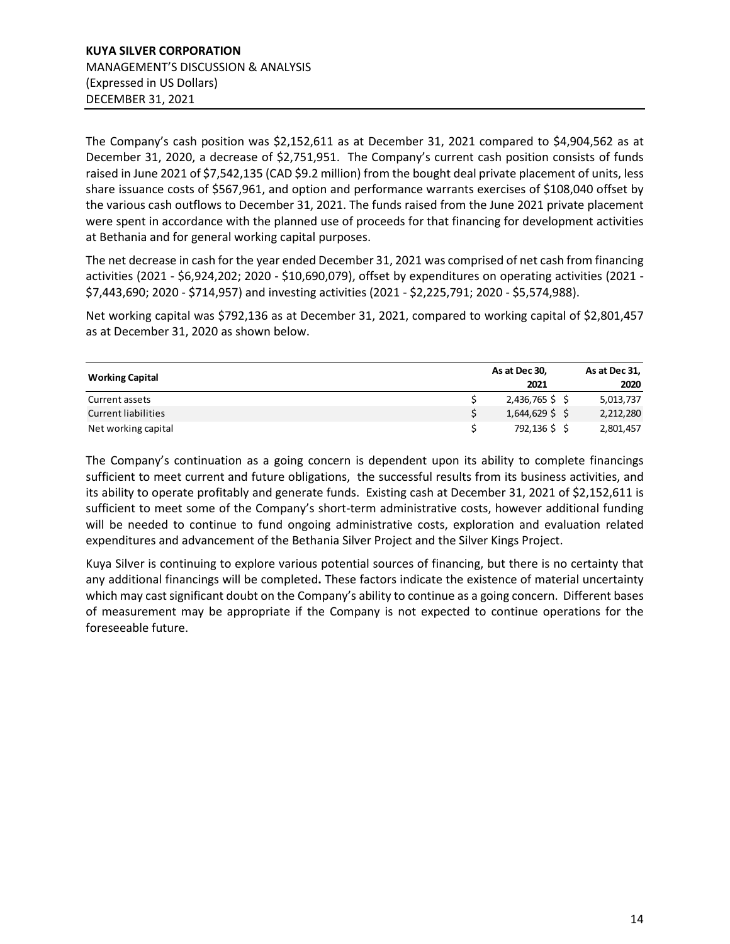The Company's cash position was \$2,152,611 as at December 31, 2021 compared to \$4,904,562 as at December 31, 2020, a decrease of \$2,751,951. The Company's current cash position consists of funds raised in June 2021 of \$7,542,135 (CAD \$9.2 million) from the bought deal private placement of units, less share issuance costs of \$567,961, and option and performance warrants exercises of \$108,040 offset by the various cash outflows to December 31, 2021. The funds raised from the June 2021 private placement were spent in accordance with the planned use of proceeds for that financing for development activities at Bethania and for general working capital purposes.

The net decrease in cash for the year ended December 31, 2021 was comprised of net cash from financing activities (2021 - \$6,924,202; 2020 - \$10,690,079), offset by expenditures on operating activities (2021 - \$7,443,690; 2020 - \$714,957) and investing activities (2021 - \$2,225,791; 2020 - \$5,574,988).

Net working capital was \$792,136 as at December 31, 2021, compared to working capital of \$2,801,457 as at December 31, 2020 as shown below.

|                            | As at Dec 30,     | As at Dec 31, |
|----------------------------|-------------------|---------------|
| <b>Working Capital</b>     | 2021              | 2020          |
| Current assets             | $2,436,765$ \$    | 5,013,737     |
| <b>Current liabilities</b> | $1,644,629$ \$ \$ | 2,212,280     |
| Net working capital        | 792,136 \$\$      | 2,801,457     |

The Company's continuation as a going concern is dependent upon its ability to complete financings sufficient to meet current and future obligations, the successful results from its business activities, and its ability to operate profitably and generate funds. Existing cash at December 31, 2021 of \$2,152,611 is sufficient to meet some of the Company's short-term administrative costs, however additional funding will be needed to continue to fund ongoing administrative costs, exploration and evaluation related expenditures and advancement of the Bethania Silver Project and the Silver Kings Project.

Kuya Silver is continuing to explore various potential sources of financing, but there is no certainty that any additional financings will be completed**.** These factors indicate the existence of material uncertainty which may cast significant doubt on the Company's ability to continue as a going concern. Different bases of measurement may be appropriate if the Company is not expected to continue operations for the foreseeable future.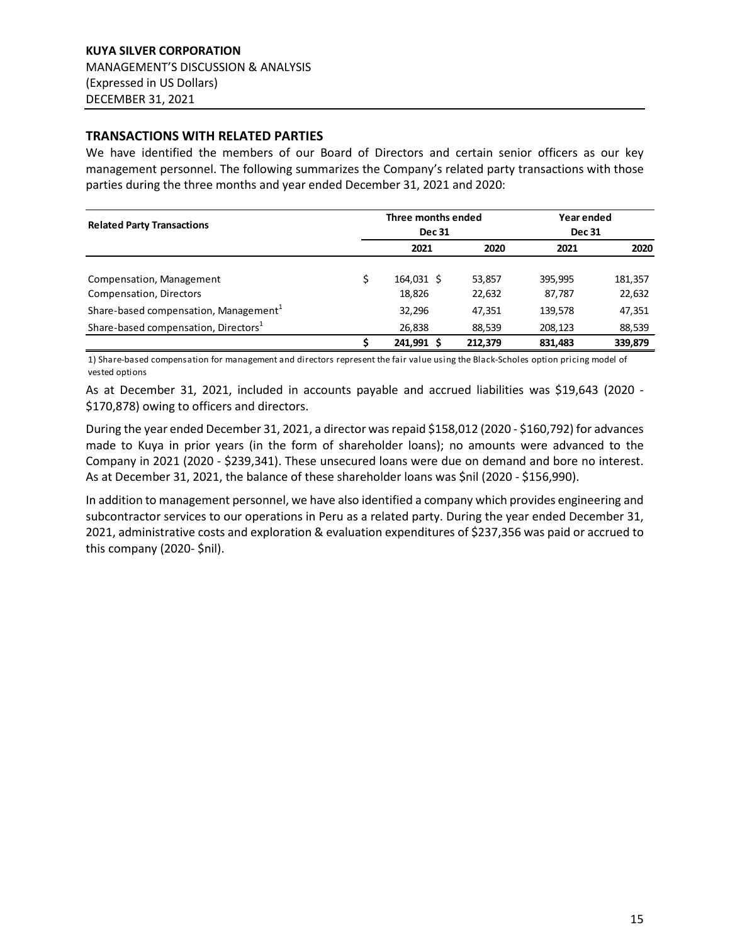#### <span id="page-14-0"></span>**TRANSACTIONS WITH RELATED PARTIES**

We have identified the members of our Board of Directors and certain senior officers as our key management personnel. The following summarizes the Company's related party transactions with those parties during the three months and year ended December 31, 2021 and 2020:

| <b>Related Party Transactions</b>                 | Three months ended<br><b>Dec 31</b> | Year ended<br><b>Dec 31</b> |         |         |
|---------------------------------------------------|-------------------------------------|-----------------------------|---------|---------|
|                                                   | 2021                                | 2020                        | 2021    | 2020    |
| Compensation, Management                          | 164,031 \$                          | 53,857                      | 395,995 | 181,357 |
| Compensation, Directors                           | 18,826                              | 22,632                      | 87,787  | 22,632  |
| Share-based compensation, Management <sup>1</sup> | 32,296                              | 47,351                      | 139,578 | 47,351  |
| Share-based compensation, Directors <sup>1</sup>  | 26,838                              | 88,539                      | 208.123 | 88,539  |
|                                                   | 241,991 \$                          | 212,379                     | 831,483 | 339,879 |

1) Share-based compensation for management and directors represent the fair value using the Black-Scholes option pricing model of vested options

As at December 31, 2021, included in accounts payable and accrued liabilities was \$19,643 (2020 - \$170,878) owing to officers and directors.

During the year ended December 31, 2021, a director was repaid \$158,012 (2020 - \$160,792) for advances made to Kuya in prior years (in the form of shareholder loans); no amounts were advanced to the Company in 2021 (2020 - \$239,341). These unsecured loans were due on demand and bore no interest. As at December 31, 2021, the balance of these shareholder loans was \$nil (2020 - \$156,990).

In addition to management personnel, we have also identified a company which provides engineering and subcontractor services to our operations in Peru as a related party. During the year ended December 31, 2021, administrative costs and exploration & evaluation expenditures of \$237,356 was paid or accrued to this company (2020- \$nil).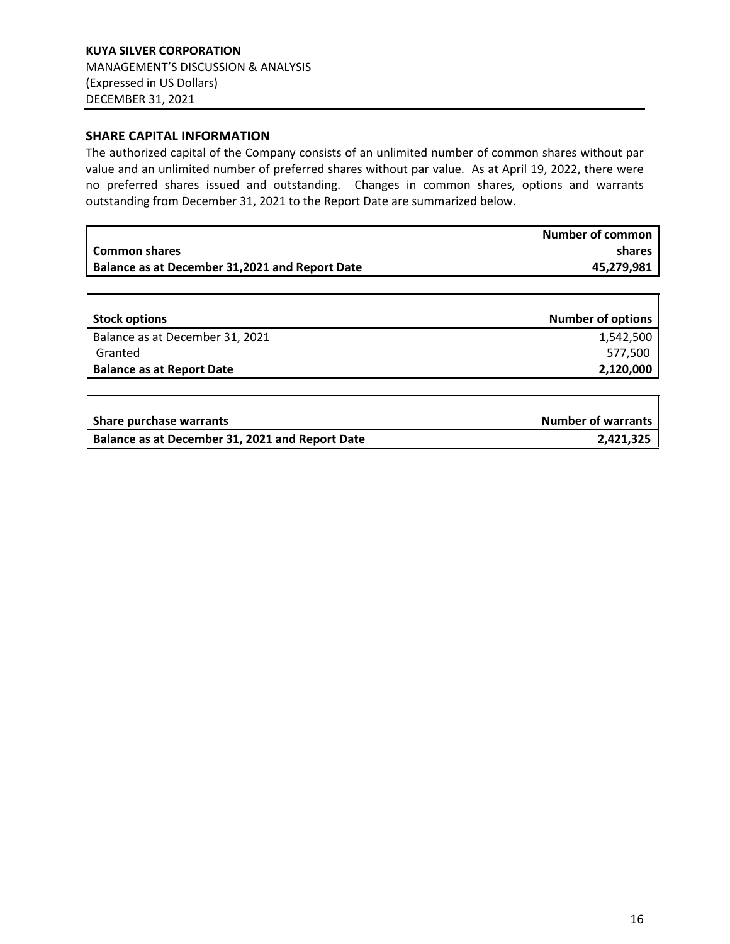#### **SHARE CAPITAL INFORMATION**

 $\overline{r}$ 

The authorized capital of the Company consists of an unlimited number of common shares without par value and an unlimited number of preferred shares without par value. As at April 19, 2022, there were no preferred shares issued and outstanding. Changes in common shares, options and warrants outstanding from December 31, 2021 to the Report Date are summarized below.

|                                                | <b>Number of common</b> |
|------------------------------------------------|-------------------------|
| Common shares                                  | shares                  |
| Balance as at December 31,2021 and Report Date | 45,279,981              |

| <b>Stock options</b>             | <b>Number of options</b> |
|----------------------------------|--------------------------|
| Balance as at December 31, 2021  | 1,542,500                |
| Granted                          | 577,500                  |
| <b>Balance as at Report Date</b> | 2,120,000                |
|                                  |                          |

| <b>Share purchase warrants</b>                  | <b>Number of warrants</b> |
|-------------------------------------------------|---------------------------|
| Balance as at December 31, 2021 and Report Date | 2,421,325                 |

 $\overline{\mathsf{T}}$ 

┑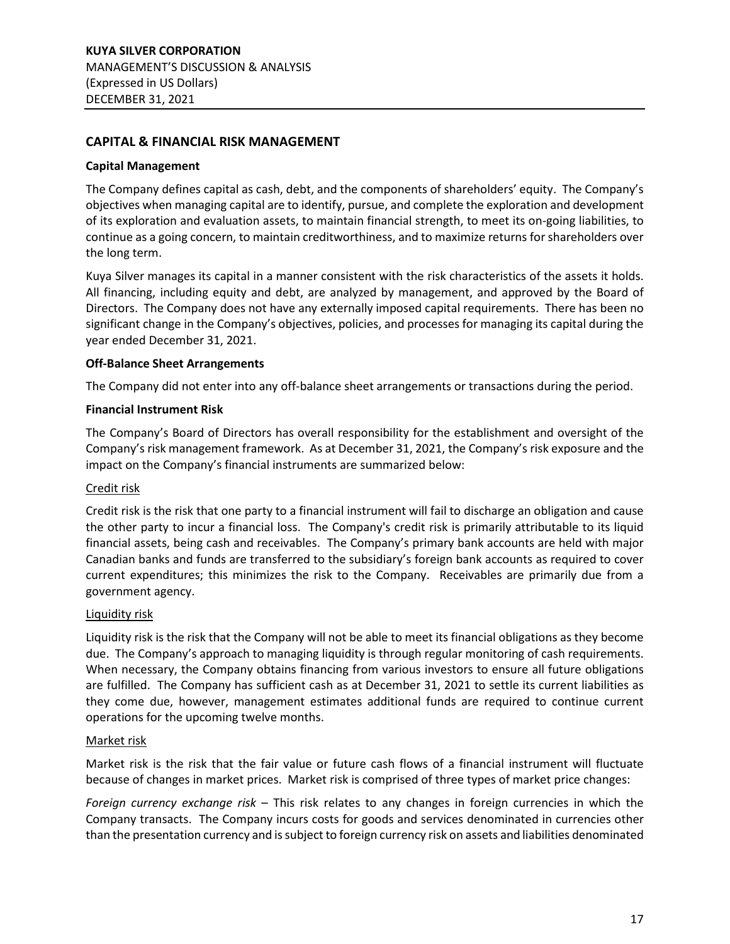## <span id="page-16-0"></span>**CAPITAL & FINANCIAL RISK MANAGEMENT**

#### **Capital Management**

The Company defines capital as cash, debt, and the components of shareholders' equity. The Company's objectives when managing capital are to identify, pursue, and complete the exploration and development of its exploration and evaluation assets, to maintain financial strength, to meet its on-going liabilities, to continue as a going concern, to maintain creditworthiness, and to maximize returns for shareholders over the long term.

Kuya Silver manages its capital in a manner consistent with the risk characteristics of the assets it holds. All financing, including equity and debt, are analyzed by management, and approved by the Board of Directors. The Company does not have any externally imposed capital requirements. There has been no significant change in the Company's objectives, policies, and processes for managing its capital during the year ended December 31, 2021.

#### **Off-Balance Sheet Arrangements**

The Company did not enter into any off-balance sheet arrangements or transactions during the period.

#### **Financial Instrument Risk**

The Company's Board of Directors has overall responsibility for the establishment and oversight of the Company's risk management framework. As at December 31, 2021, the Company's risk exposure and the impact on the Company's financial instruments are summarized below:

#### Credit risk

Credit risk is the risk that one party to a financial instrument will fail to discharge an obligation and cause the other party to incur a financial loss. The Company's credit risk is primarily attributable to its liquid financial assets, being cash and receivables. The Company's primary bank accounts are held with major Canadian banks and funds are transferred to the subsidiary's foreign bank accounts as required to cover current expenditures; this minimizes the risk to the Company. Receivables are primarily due from a government agency.

#### Liquidity risk

Liquidity risk is the risk that the Company will not be able to meet its financial obligations as they become due. The Company's approach to managing liquidity is through regular monitoring of cash requirements. When necessary, the Company obtains financing from various investors to ensure all future obligations are fulfilled. The Company has sufficient cash as at December 31, 2021 to settle its current liabilities as they come due, however, management estimates additional funds are required to continue current operations for the upcoming twelve months.

#### Market risk

Market risk is the risk that the fair value or future cash flows of a financial instrument will fluctuate because of changes in market prices. Market risk is comprised of three types of market price changes:

*Foreign currency exchange risk* – This risk relates to any changes in foreign currencies in which the Company transacts. The Company incurs costs for goods and services denominated in currencies other than the presentation currency and is subject to foreign currency risk on assets and liabilities denominated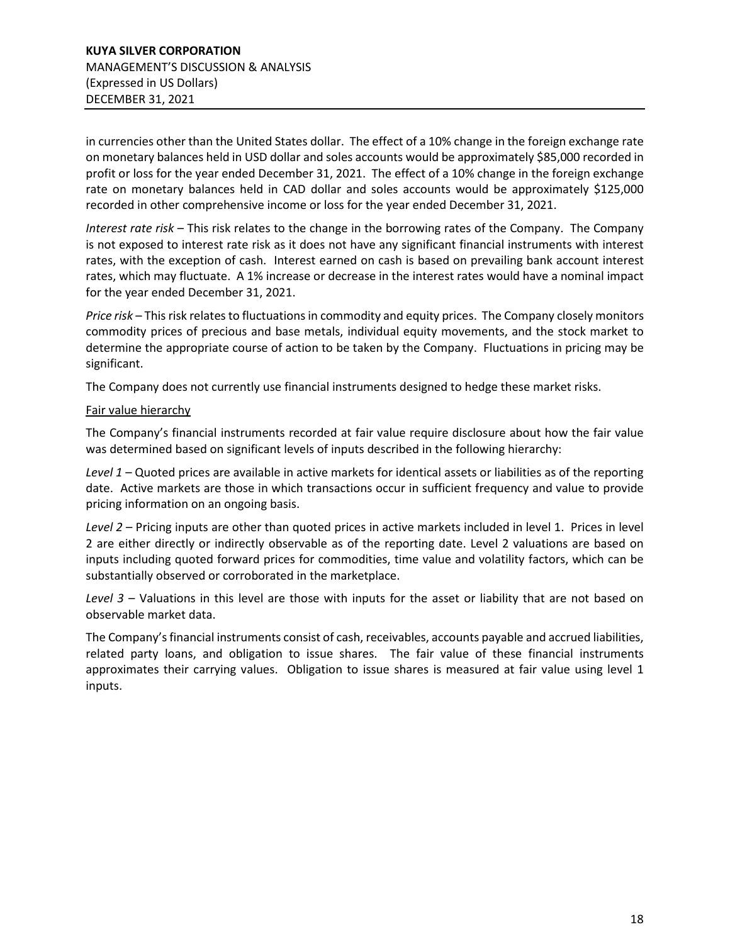in currencies other than the United States dollar. The effect of a 10% change in the foreign exchange rate on monetary balances held in USD dollar and soles accounts would be approximately \$85,000 recorded in profit or loss for the year ended December 31, 2021. The effect of a 10% change in the foreign exchange rate on monetary balances held in CAD dollar and soles accounts would be approximately \$125,000 recorded in other comprehensive income or loss for the year ended December 31, 2021.

*Interest rate risk* – This risk relates to the change in the borrowing rates of the Company. The Company is not exposed to interest rate risk as it does not have any significant financial instruments with interest rates, with the exception of cash. Interest earned on cash is based on prevailing bank account interest rates, which may fluctuate. A 1% increase or decrease in the interest rates would have a nominal impact for the year ended December 31, 2021.

*Price risk* – This risk relates to fluctuations in commodity and equity prices. The Company closely monitors commodity prices of precious and base metals, individual equity movements, and the stock market to determine the appropriate course of action to be taken by the Company. Fluctuations in pricing may be significant.

The Company does not currently use financial instruments designed to hedge these market risks.

#### Fair value hierarchy

The Company's financial instruments recorded at fair value require disclosure about how the fair value was determined based on significant levels of inputs described in the following hierarchy:

*Level 1* – Quoted prices are available in active markets for identical assets or liabilities as of the reporting date. Active markets are those in which transactions occur in sufficient frequency and value to provide pricing information on an ongoing basis.

*Level 2* – Pricing inputs are other than quoted prices in active markets included in level 1. Prices in level 2 are either directly or indirectly observable as of the reporting date. Level 2 valuations are based on inputs including quoted forward prices for commodities, time value and volatility factors, which can be substantially observed or corroborated in the marketplace.

*Level 3* – Valuations in this level are those with inputs for the asset or liability that are not based on observable market data.

The Company's financial instruments consist of cash, receivables, accounts payable and accrued liabilities, related party loans, and obligation to issue shares. The fair value of these financial instruments approximates their carrying values. Obligation to issue shares is measured at fair value using level 1 inputs.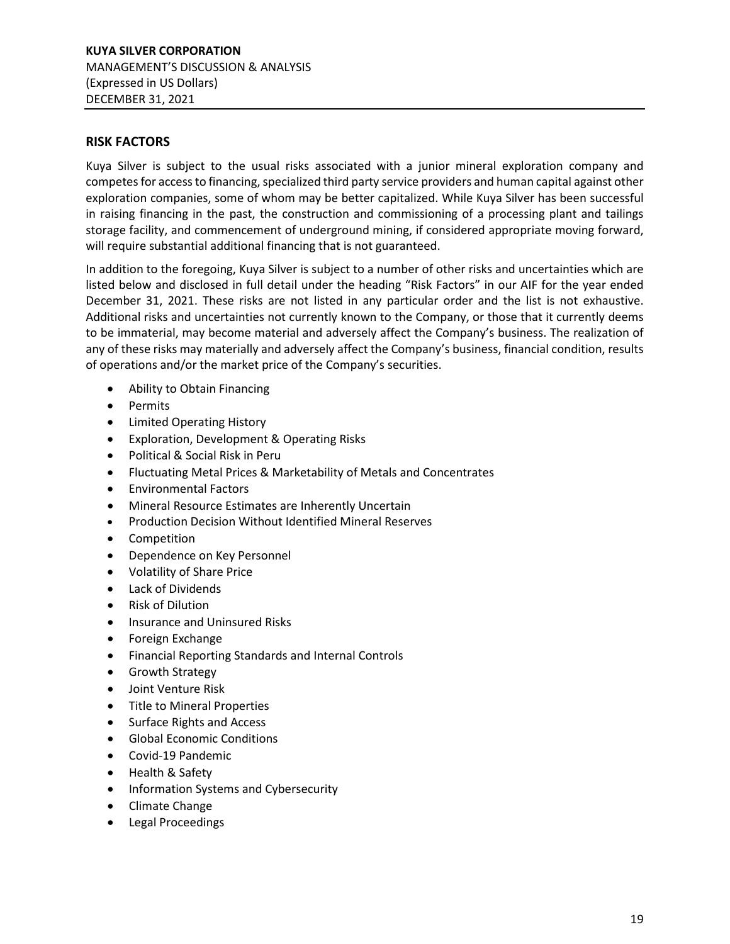## <span id="page-18-0"></span>**RISK FACTORS**

Kuya Silver is subject to the usual risks associated with a junior mineral exploration company and competesfor access to financing, specialized third party service providers and human capital against other exploration companies, some of whom may be better capitalized. While Kuya Silver has been successful in raising financing in the past, the construction and commissioning of a processing plant and tailings storage facility, and commencement of underground mining, if considered appropriate moving forward, will require substantial additional financing that is not guaranteed.

In addition to the foregoing, Kuya Silver is subject to a number of other risks and uncertainties which are listed below and disclosed in full detail under the heading "Risk Factors" in our AIF for the year ended December 31, 2021. These risks are not listed in any particular order and the list is not exhaustive. Additional risks and uncertainties not currently known to the Company, or those that it currently deems to be immaterial, may become material and adversely affect the Company's business. The realization of any of these risks may materially and adversely affect the Company's business, financial condition, results of operations and/or the market price of the Company's securities.

- Ability to Obtain Financing
- Permits
- Limited Operating History
- Exploration, Development & Operating Risks
- Political & Social Risk in Peru
- Fluctuating Metal Prices & Marketability of Metals and Concentrates
- Environmental Factors
- Mineral Resource Estimates are Inherently Uncertain
- Production Decision Without Identified Mineral Reserves
- Competition
- Dependence on Key Personnel
- Volatility of Share Price
- Lack of Dividends
- Risk of Dilution
- Insurance and Uninsured Risks
- Foreign Exchange
- Financial Reporting Standards and Internal Controls
- Growth Strategy
- Joint Venture Risk
- Title to Mineral Properties
- Surface Rights and Access
- Global Economic Conditions
- Covid-19 Pandemic
- Health & Safety
- Information Systems and Cybersecurity
- Climate Change
- Legal Proceedings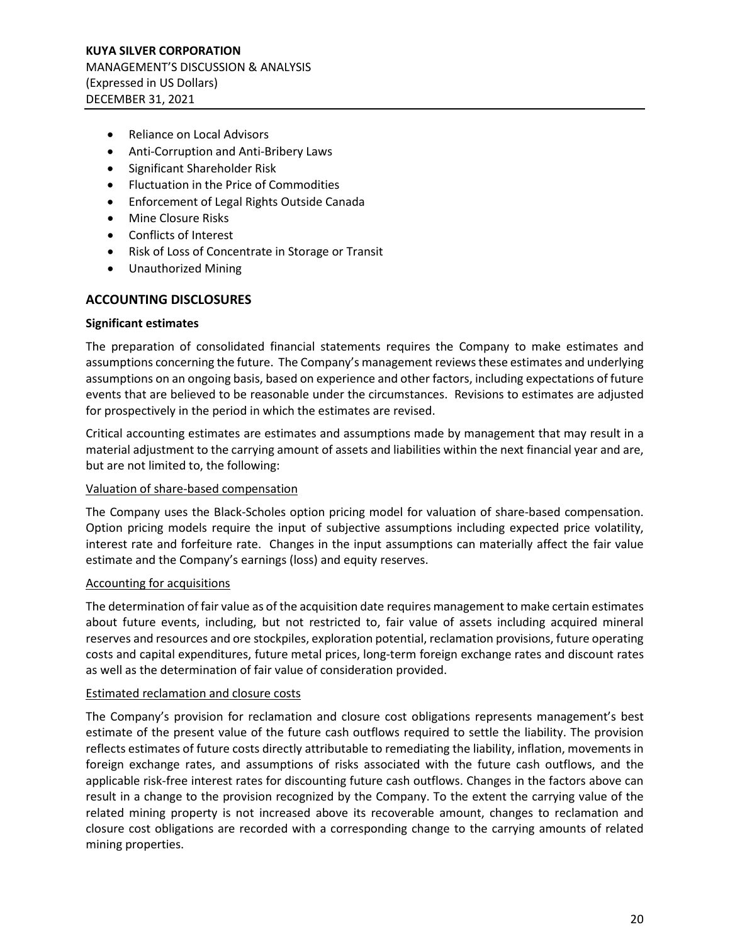- Reliance on Local Advisors
- Anti-Corruption and Anti-Bribery Laws
- Significant Shareholder Risk
- Fluctuation in the Price of Commodities
- Enforcement of Legal Rights Outside Canada
- Mine Closure Risks
- Conflicts of Interest
- Risk of Loss of Concentrate in Storage or Transit
- Unauthorized Mining

## <span id="page-19-0"></span>**ACCOUNTING DISCLOSURES**

#### **Significant estimates**

The preparation of consolidated financial statements requires the Company to make estimates and assumptions concerning the future. The Company's management reviews these estimates and underlying assumptions on an ongoing basis, based on experience and other factors, including expectations of future events that are believed to be reasonable under the circumstances. Revisions to estimates are adjusted for prospectively in the period in which the estimates are revised.

Critical accounting estimates are estimates and assumptions made by management that may result in a material adjustment to the carrying amount of assets and liabilities within the next financial year and are, but are not limited to, the following:

#### Valuation of share-based compensation

The Company uses the Black-Scholes option pricing model for valuation of share-based compensation. Option pricing models require the input of subjective assumptions including expected price volatility, interest rate and forfeiture rate. Changes in the input assumptions can materially affect the fair value estimate and the Company's earnings (loss) and equity reserves.

#### Accounting for acquisitions

The determination of fair value as of the acquisition date requires management to make certain estimates about future events, including, but not restricted to, fair value of assets including acquired mineral reserves and resources and ore stockpiles, exploration potential, reclamation provisions, future operating costs and capital expenditures, future metal prices, long-term foreign exchange rates and discount rates as well as the determination of fair value of consideration provided.

#### Estimated reclamation and closure costs

The Company's provision for reclamation and closure cost obligations represents management's best estimate of the present value of the future cash outflows required to settle the liability. The provision reflects estimates of future costs directly attributable to remediating the liability, inflation, movements in foreign exchange rates, and assumptions of risks associated with the future cash outflows, and the applicable risk-free interest rates for discounting future cash outflows. Changes in the factors above can result in a change to the provision recognized by the Company. To the extent the carrying value of the related mining property is not increased above its recoverable amount, changes to reclamation and closure cost obligations are recorded with a corresponding change to the carrying amounts of related mining properties.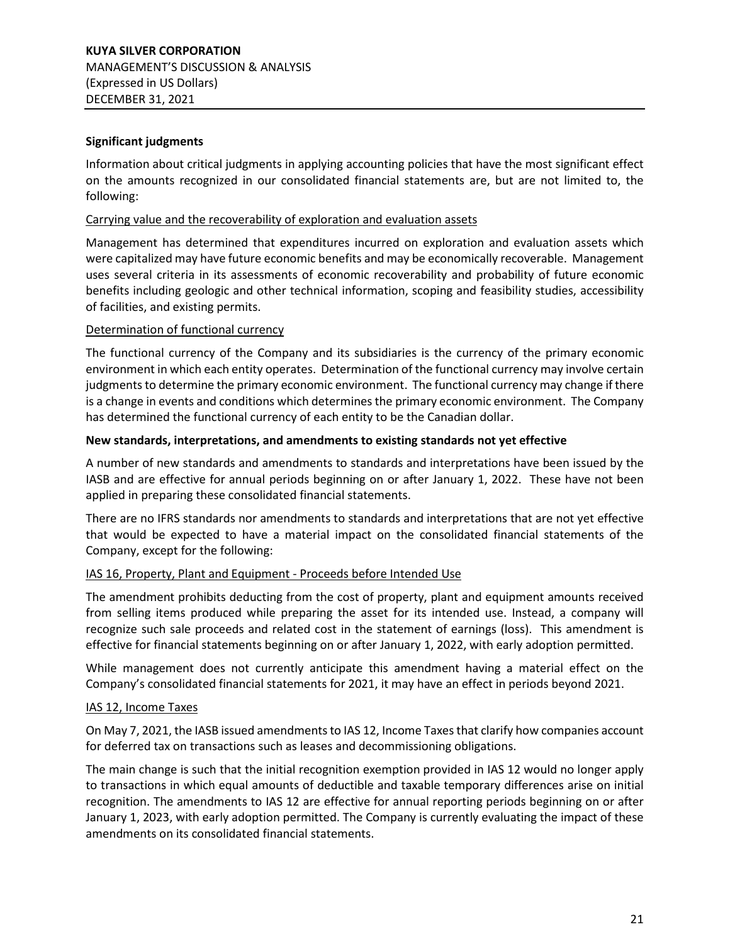## **Significant judgments**

Information about critical judgments in applying accounting policies that have the most significant effect on the amounts recognized in our consolidated financial statements are, but are not limited to, the following:

#### Carrying value and the recoverability of exploration and evaluation assets

Management has determined that expenditures incurred on exploration and evaluation assets which were capitalized may have future economic benefits and may be economically recoverable. Management uses several criteria in its assessments of economic recoverability and probability of future economic benefits including geologic and other technical information, scoping and feasibility studies, accessibility of facilities, and existing permits.

#### Determination of functional currency

The functional currency of the Company and its subsidiaries is the currency of the primary economic environment in which each entity operates. Determination of the functional currency may involve certain judgments to determine the primary economic environment. The functional currency may change if there is a change in events and conditions which determines the primary economic environment. The Company has determined the functional currency of each entity to be the Canadian dollar.

#### **New standards, interpretations, and amendments to existing standards not yet effective**

A number of new standards and amendments to standards and interpretations have been issued by the IASB and are effective for annual periods beginning on or after January 1, 2022. These have not been applied in preparing these consolidated financial statements.

There are no IFRS standards nor amendments to standards and interpretations that are not yet effective that would be expected to have a material impact on the consolidated financial statements of the Company, except for the following:

#### IAS 16, Property, Plant and Equipment - Proceeds before Intended Use

The amendment prohibits deducting from the cost of property, plant and equipment amounts received from selling items produced while preparing the asset for its intended use. Instead, a company will recognize such sale proceeds and related cost in the statement of earnings (loss). This amendment is effective for financial statements beginning on or after January 1, 2022, with early adoption permitted.

While management does not currently anticipate this amendment having a material effect on the Company's consolidated financial statements for 2021, it may have an effect in periods beyond 2021.

#### IAS 12, Income Taxes

On May 7, 2021, the IASB issued amendments to IAS 12, Income Taxesthat clarify how companies account for deferred tax on transactions such as leases and decommissioning obligations.

The main change is such that the initial recognition exemption provided in IAS 12 would no longer apply to transactions in which equal amounts of deductible and taxable temporary differences arise on initial recognition. The amendments to IAS 12 are effective for annual reporting periods beginning on or after January 1, 2023, with early adoption permitted. The Company is currently evaluating the impact of these amendments on its consolidated financial statements.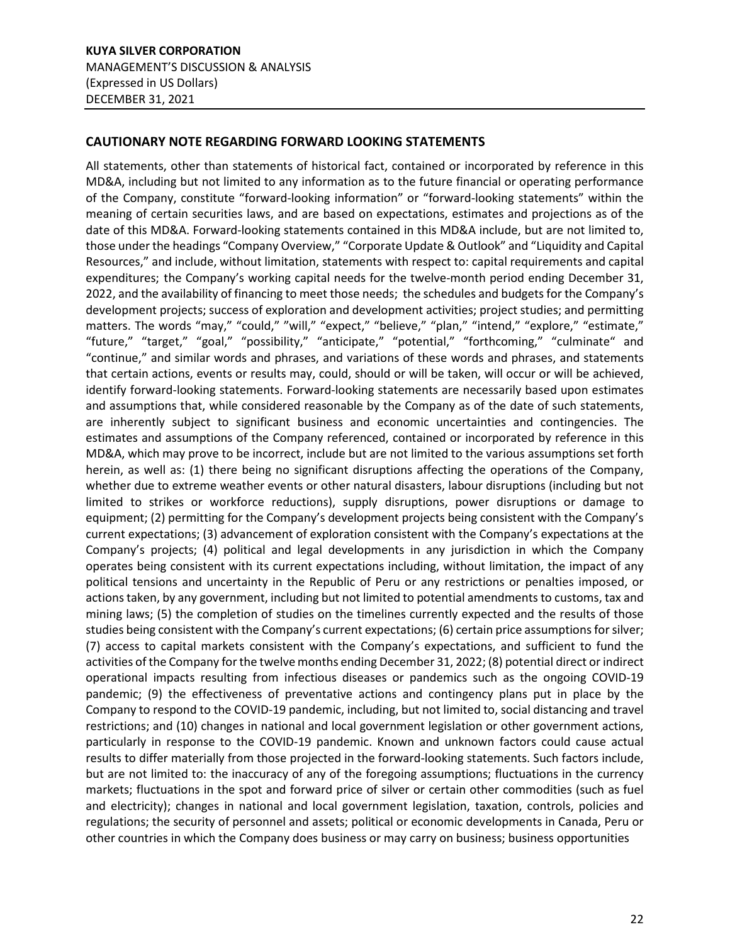## <span id="page-21-0"></span>**CAUTIONARY NOTE REGARDING FORWARD LOOKING STATEMENTS**

All statements, other than statements of historical fact, contained or incorporated by reference in this MD&A, including but not limited to any information as to the future financial or operating performance of the Company, constitute "forward-looking information" or "forward-looking statements" within the meaning of certain securities laws, and are based on expectations, estimates and projections as of the date of this MD&A. Forward-looking statements contained in this MD&A include, but are not limited to, those under the headings "Company Overview," "Corporate Update & Outlook" and "Liquidity and Capital Resources," and include, without limitation, statements with respect to: capital requirements and capital expenditures; the Company's working capital needs for the twelve-month period ending December 31, 2022, and the availability of financing to meet those needs; the schedules and budgets for the Company's development projects; success of exploration and development activities; project studies; and permitting matters. The words "may," "could," "will," "expect," "believe," "plan," "intend," "explore," "estimate," "future," "target," "goal," "possibility," "anticipate," "potential," "forthcoming," "culminate" and "continue," and similar words and phrases, and variations of these words and phrases, and statements that certain actions, events or results may, could, should or will be taken, will occur or will be achieved, identify forward-looking statements. Forward-looking statements are necessarily based upon estimates and assumptions that, while considered reasonable by the Company as of the date of such statements, are inherently subject to significant business and economic uncertainties and contingencies. The estimates and assumptions of the Company referenced, contained or incorporated by reference in this MD&A, which may prove to be incorrect, include but are not limited to the various assumptions set forth herein, as well as: (1) there being no significant disruptions affecting the operations of the Company, whether due to extreme weather events or other natural disasters, labour disruptions (including but not limited to strikes or workforce reductions), supply disruptions, power disruptions or damage to equipment; (2) permitting for the Company's development projects being consistent with the Company's current expectations; (3) advancement of exploration consistent with the Company's expectations at the Company's projects; (4) political and legal developments in any jurisdiction in which the Company operates being consistent with its current expectations including, without limitation, the impact of any political tensions and uncertainty in the Republic of Peru or any restrictions or penalties imposed, or actions taken, by any government, including but not limited to potential amendments to customs, tax and mining laws; (5) the completion of studies on the timelines currently expected and the results of those studies being consistent with the Company's current expectations; (6) certain price assumptions for silver; (7) access to capital markets consistent with the Company's expectations, and sufficient to fund the activities of the Company for the twelve months ending December 31, 2022; (8) potential direct or indirect operational impacts resulting from infectious diseases or pandemics such as the ongoing COVID-19 pandemic; (9) the effectiveness of preventative actions and contingency plans put in place by the Company to respond to the COVID-19 pandemic, including, but not limited to, social distancing and travel restrictions; and (10) changes in national and local government legislation or other government actions, particularly in response to the COVID-19 pandemic. Known and unknown factors could cause actual results to differ materially from those projected in the forward-looking statements. Such factors include, but are not limited to: the inaccuracy of any of the foregoing assumptions; fluctuations in the currency markets; fluctuations in the spot and forward price of silver or certain other commodities (such as fuel and electricity); changes in national and local government legislation, taxation, controls, policies and regulations; the security of personnel and assets; political or economic developments in Canada, Peru or other countries in which the Company does business or may carry on business; business opportunities